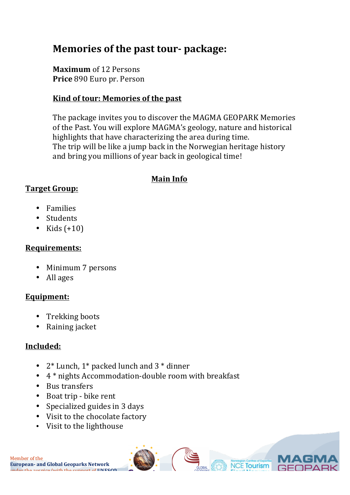# **Memories of the past tour- package:**

**Maximum** of 12 Persons **Price** 890 Euro pr. Person

### Kind of tour: Memories of the past

The package invites you to discover the MAGMA GEOPARK Memories of the Past. You will explore MAGMA's geology, nature and historical highlights that have characterizing the area during time. The trip will be like a jump back in the Norwegian heritage history and bring you millions of year back in geological time!

### **Main Info**

### **Target Group:**

- Families
- Students
- Kids  $(+10)$

#### **Requirements:**

- Minimum 7 persons
- All ages

## **Equipment:**

- Trekking boots
- Raining jacket

## **Included:**

- $2^*$  Lunch,  $1^*$  packed lunch and  $3^*$  dinner
- $4 *$  nights Accommodation-double room with breakfast
- Bus transfers
- Boat trip bike rent
- Specialized guides in 3 days
- Visit to the chocolate factory
- Visit to the lighthouse

Member of the **European- and Global Geoparks Network** under the auspice/with the support of **UNESCO**

> Sokndalsveien 26, 4372 EGERSUND, +47 92877911, post@magmageopark.com www.magmageopark.com

**NCE Tourism**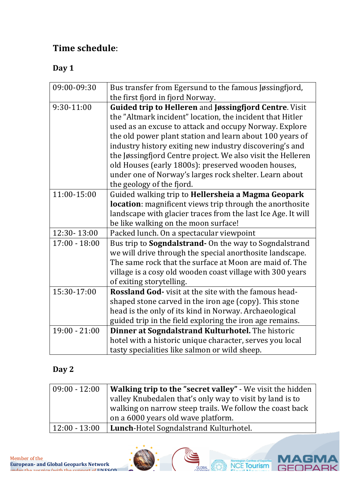# **Time schedule**:

# **Day 1**

| 09:00-09:30     | Bus transfer from Egersund to the famous Jøssingfjord,        |
|-----------------|---------------------------------------------------------------|
|                 | the first fjord in fjord Norway.                              |
| 9:30-11:00      | <b>Guided trip to Helleren and Jøssingfjord Centre. Visit</b> |
|                 |                                                               |
|                 | the "Altmark incident" location, the incident that Hitler     |
|                 | used as an excuse to attack and occupy Norway. Explore        |
|                 | the old power plant station and learn about 100 years of      |
|                 | industry history exiting new industry discovering's and       |
|                 | the Jøssingfjord Centre project. We also visit the Helleren   |
|                 | old Houses (early 1800s): preserved wooden houses,            |
|                 | under one of Norway's larges rock shelter. Learn about        |
|                 | the geology of the fjord.                                     |
| 11:00-15:00     | Guided walking trip to Hellersheia a Magma Geopark            |
|                 | location: magnificent views trip through the anorthosite      |
|                 | landscape with glacier traces from the last Ice Age. It will  |
|                 | be like walking on the moon surface!                          |
| 12:30-13:00     | Packed lunch. On a spectacular viewpoint                      |
| $17:00 - 18:00$ | Bus trip to Sogndalstrand- On the way to Sogndalstrand        |
|                 | we will drive through the special anorthosite landscape.      |
|                 | The same rock that the surface at Moon are maid of. The       |
|                 | village is a cosy old wooden coast village with 300 years     |
|                 | of exiting storytelling.                                      |
| 15:30-17:00     | <b>Rossland God-</b> visit at the site with the famous head-  |
|                 | shaped stone carved in the iron age (copy). This stone        |
|                 | head is the only of its kind in Norway. Archaeological        |
|                 | guided trip in the field exploring the iron age remains.      |
| $19:00 - 21:00$ | Dinner at Sogndalstrand Kulturhotel. The historic             |
|                 | hotel with a historic unique character, serves you local      |
|                 | tasty specialities like salmon or wild sheep.                 |

## **Day 2**

| $09:00 - 12:00$ | <b>Walking trip to the "secret valley" - We visit the hidden</b><br>valley Knubedalen that's only way to visit by land is to<br>walking on narrow steep trails. We follow the coast back |
|-----------------|------------------------------------------------------------------------------------------------------------------------------------------------------------------------------------------|
|                 | on a 6000 years old wave platform.                                                                                                                                                       |
| $12:00 - 13:00$ | Lunch-Hotel Sogndalstrand Kulturhotel.                                                                                                                                                   |

IAG

**GEOPAR** 

**NCE Tourism** 

Member of the **European- and Global Geoparks Network** under the quenice /with the cunnert of **UNESCO** 

GLOBAL<br>CEODARKS